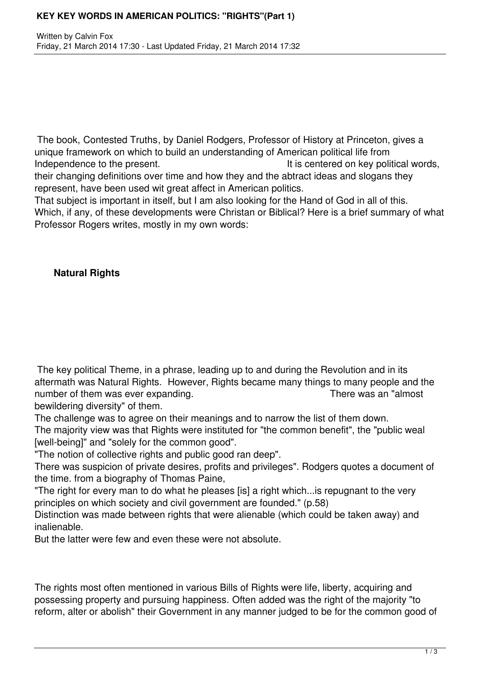## **KEY KEY WORDS IN AMERICAN POLITICS: "RIGHTS"(Part 1)**

The book, Contested Truths, by Daniel Rodgers, Professor of History at Princeton, gives a unique framework on which to build an understanding of American political life from Independence to the present. The same state of the present of the present of the state of the state of the state of the state of the state of the state of the state of the state of the state of the state of the state of th their changing definitions over time and how they and the abtract ideas and slogans they represent, have been used wit great affect in American politics.

That subject is important in itself, but I am also looking for the Hand of God in all of this. Which, if any, of these developments were Christan or Biblical? Here is a brief summary of what Professor Rogers writes, mostly in my own words:

## **Natural Rights**

The key political Theme, in a phrase, leading up to and during the Revolution and in its aftermath was Natural Rights. However, Rights became many things to many people and the number of them was ever expanding. There was an "almost"

bewildering diversity" of them.

The challenge was to agree on their meanings and to narrow the list of them down. The majority view was that Rights were instituted for "the common benefit", the "public weal [well-being]" and "solely for the common good".

"The notion of collective rights and public good ran deep".

There was suspicion of private desires, profits and privileges". Rodgers quotes a document of the time. from a biography of Thomas Paine,

"The right for every man to do what he pleases [is] a right which...is repugnant to the very principles on which society and civil government are founded." (p.58)

Distinction was made between rights that were alienable (which could be taken away) and inalienable.

But the latter were few and even these were not absolute.

The rights most often mentioned in various Bills of Rights were life, liberty, acquiring and possessing property and pursuing happiness. Often added was the right of the majority "to reform, alter or abolish" their Government in any manner judged to be for the common good of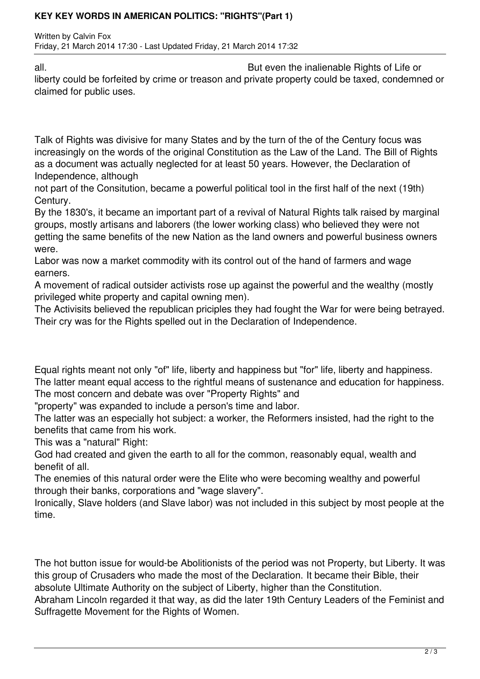## **KEY KEY WORDS IN AMERICAN POLITICS: "RIGHTS"(Part 1)**

Written by Calvin Fox Friday, 21 March 2014 17:30 - Last Updated Friday, 21 March 2014 17:32

all. But even the inalienable Rights of Life or liberty could be forfeited by crime or treason and private property could be taxed, condemned or claimed for public uses.

Talk of Rights was divisive for many States and by the turn of the of the Century focus was increasingly on the words of the original Constitution as the Law of the Land. The Bill of Rights as a document was actually neglected for at least 50 years. However, the Declaration of Independence, although

not part of the Consitution, became a powerful political tool in the first half of the next (19th) Century.

By the 1830's, it became an important part of a revival of Natural Rights talk raised by marginal groups, mostly artisans and laborers (the lower working class) who believed they were not getting the same benefits of the new Nation as the land owners and powerful business owners were.

Labor was now a market commodity with its control out of the hand of farmers and wage earners.

A movement of radical outsider activists rose up against the powerful and the wealthy (mostly privileged white property and capital owning men).

The Activisits believed the republican priciples they had fought the War for were being betrayed. Their cry was for the Rights spelled out in the Declaration of Independence.

Equal rights meant not only "of" life, liberty and happiness but "for" life, liberty and happiness. The latter meant equal access to the rightful means of sustenance and education for happiness. The most concern and debate was over "Property Rights" and

"property" was expanded to include a person's time and labor.

The latter was an especially hot subject: a worker, the Reformers insisted, had the right to the benefits that came from his work.

This was a "natural" Right:

God had created and given the earth to all for the common, reasonably equal, wealth and benefit of all.

The enemies of this natural order were the Elite who were becoming wealthy and powerful through their banks, corporations and "wage slavery".

Ironically, Slave holders (and Slave labor) was not included in this subject by most people at the time.

The hot button issue for would-be Abolitionists of the period was not Property, but Liberty. It was this group of Crusaders who made the most of the Declaration. It became their Bible, their absolute Ultimate Authority on the subject of Liberty, higher than the Constitution.

Abraham Lincoln regarded it that way, as did the later 19th Century Leaders of the Feminist and Suffragette Movement for the Rights of Women.